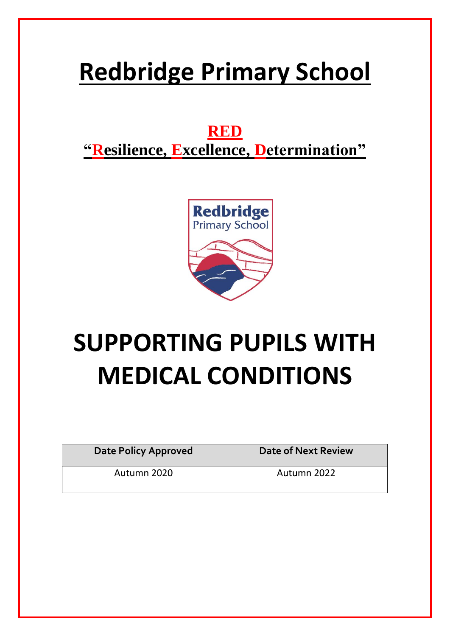# **Redbridge Primary School**

# **RED "Resilience, Excellence, Determination"**



# **SUPPORTING PUPILS WITH MEDICAL CONDITIONS**

| <b>Date Policy Approved</b> | <b>Date of Next Review</b> |
|-----------------------------|----------------------------|
| Autumn 2020                 | Autumn 2022                |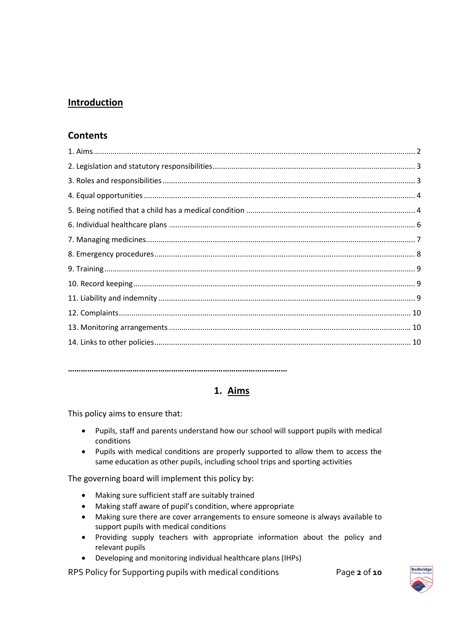# **Introduction**

#### **Contents**

**…………………………………………………………………………………………**

# **1. Aims**

This policy aims to ensure that:

- Pupils, staff and parents understand how our school will support pupils with medical conditions
- Pupils with medical conditions are properly supported to allow them to access the same education as other pupils, including school trips and sporting activities

The governing board will implement this policy by:

- Making sure sufficient staff are suitably trained
- Making staff aware of pupil's condition, where appropriate
- Making sure there are cover arrangements to ensure someone is always available to support pupils with medical conditions
- Providing supply teachers with appropriate information about the policy and relevant pupils
- Developing and monitoring individual healthcare plans (IHPs)

RPS Policy for Supporting pupils with medical conditions Page **2** of **10**

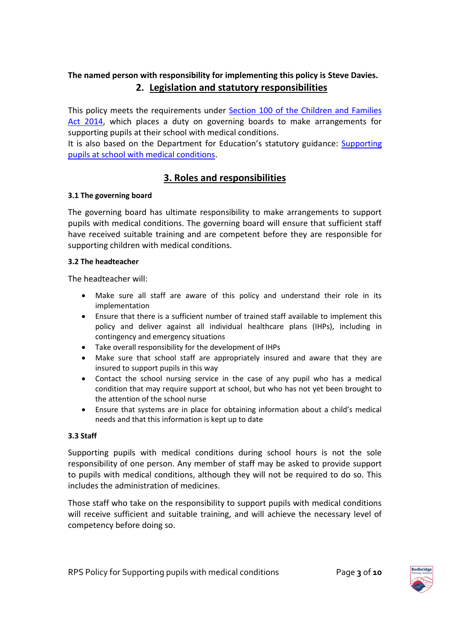#### **The named person with responsibility for implementing this policy is Steve Davies. 2. Legislation and statutory responsibilities**

This policy meets the requirements under [Section 100 of the Children and Families](http://www.legislation.gov.uk/ukpga/2014/6/part/5/crossheading/pupils-with-medical-conditions)  [Act 2014,](http://www.legislation.gov.uk/ukpga/2014/6/part/5/crossheading/pupils-with-medical-conditions) which places a duty on governing boards to make arrangements for supporting pupils at their school with medical conditions.

It is also based on the Department for Education's statutory guidance: Supporting [pupils at school with medical conditions.](https://www.gov.uk/government/uploads/system/uploads/attachment_data/file/484418/supporting-pupils-at-school-with-medical-conditions.pdf)

# **3. Roles and responsibilities**

#### **3.1 The governing board**

The governing board has ultimate responsibility to make arrangements to support pupils with medical conditions. The governing board will ensure that sufficient staff have received suitable training and are competent before they are responsible for supporting children with medical conditions.

#### **3.2 The headteacher**

The headteacher will:

- Make sure all staff are aware of this policy and understand their role in its implementation
- Ensure that there is a sufficient number of trained staff available to implement this policy and deliver against all individual healthcare plans (IHPs), including in contingency and emergency situations
- Take overall responsibility for the development of IHPs
- Make sure that school staff are appropriately insured and aware that they are insured to support pupils in this way
- Contact the school nursing service in the case of any pupil who has a medical condition that may require support at school, but who has not yet been brought to the attention of the school nurse
- Ensure that systems are in place for obtaining information about a child's medical needs and that this information is kept up to date

#### **3.3 Staff**

Supporting pupils with medical conditions during school hours is not the sole responsibility of one person. Any member of staff may be asked to provide support to pupils with medical conditions, although they will not be required to do so. This includes the administration of medicines.

Those staff who take on the responsibility to support pupils with medical conditions will receive sufficient and suitable training, and will achieve the necessary level of competency before doing so.

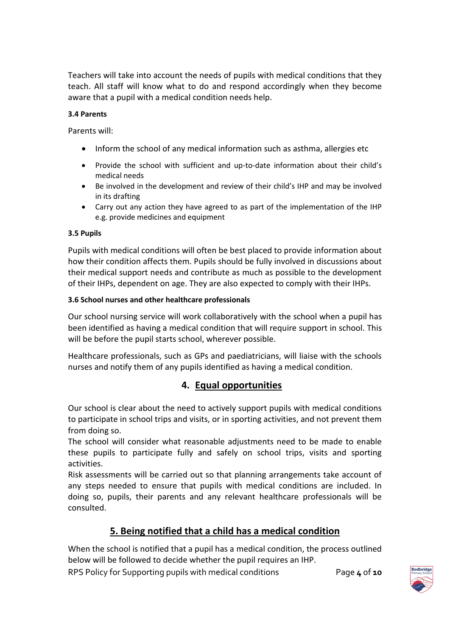Teachers will take into account the needs of pupils with medical conditions that they teach. All staff will know what to do and respond accordingly when they become aware that a pupil with a medical condition needs help.

#### **3.4 Parents**

Parents will:

- Inform the school of any medical information such as asthma, allergies etc
- Provide the school with sufficient and up-to-date information about their child's medical needs
- Be involved in the development and review of their child's IHP and may be involved in its drafting
- Carry out any action they have agreed to as part of the implementation of the IHP e.g. provide medicines and equipment

#### **3.5 Pupils**

Pupils with medical conditions will often be best placed to provide information about how their condition affects them. Pupils should be fully involved in discussions about their medical support needs and contribute as much as possible to the development of their IHPs, dependent on age. They are also expected to comply with their IHPs.

#### **3.6 School nurses and other healthcare professionals**

Our school nursing service will work collaboratively with the school when a pupil has been identified as having a medical condition that will require support in school. This will be before the pupil starts school, wherever possible.

Healthcare professionals, such as GPs and paediatricians, will liaise with the schools nurses and notify them of any pupils identified as having a medical condition.

#### **4. Equal opportunities**

Our school is clear about the need to actively support pupils with medical conditions to participate in school trips and visits, or in sporting activities, and not prevent them from doing so.

The school will consider what reasonable adjustments need to be made to enable these pupils to participate fully and safely on school trips, visits and sporting activities.

Risk assessments will be carried out so that planning arrangements take account of any steps needed to ensure that pupils with medical conditions are included. In doing so, pupils, their parents and any relevant healthcare professionals will be consulted.

# **5. Being notified that a child has a medical condition**

When the school is notified that a pupil has a medical condition, the process outlined below will be followed to decide whether the pupil requires an IHP.

RPS Policy for Supporting pupils with medical conditions Page 4 of 10

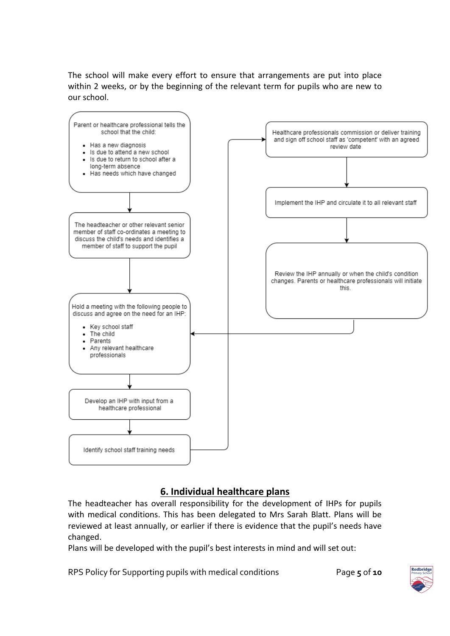The school will make every effort to ensure that arrangements are put into place within 2 weeks, or by the beginning of the relevant term for pupils who are new to our school.



# **6. Individual healthcare plans**

The headteacher has overall responsibility for the development of IHPs for pupils with medical conditions. This has been delegated to Mrs Sarah Blatt. Plans will be reviewed at least annually, or earlier if there is evidence that the pupil's needs have changed.

Plans will be developed with the pupil's best interests in mind and will set out:

RPS Policy for Supporting pupils with medical conditions Page **5** of **10**

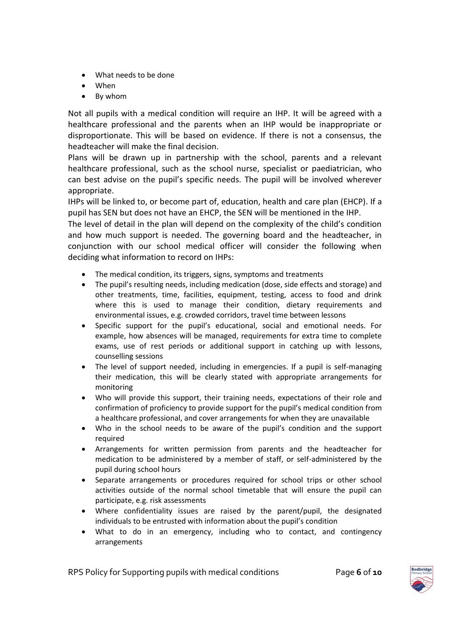- What needs to be done
- When
- By whom

Not all pupils with a medical condition will require an IHP. It will be agreed with a healthcare professional and the parents when an IHP would be inappropriate or disproportionate. This will be based on evidence. If there is not a consensus, the headteacher will make the final decision.

Plans will be drawn up in partnership with the school, parents and a relevant healthcare professional, such as the school nurse, specialist or paediatrician, who can best advise on the pupil's specific needs. The pupil will be involved wherever appropriate.

IHPs will be linked to, or become part of, education, health and care plan (EHCP). If a pupil has SEN but does not have an EHCP, the SEN will be mentioned in the IHP.

The level of detail in the plan will depend on the complexity of the child's condition and how much support is needed. The governing board and the headteacher, in conjunction with our school medical officer will consider the following when deciding what information to record on IHPs:

- The medical condition, its triggers, signs, symptoms and treatments
- The pupil's resulting needs, including medication (dose, side effects and storage) and other treatments, time, facilities, equipment, testing, access to food and drink where this is used to manage their condition, dietary requirements and environmental issues, e.g. crowded corridors, travel time between lessons
- Specific support for the pupil's educational, social and emotional needs. For example, how absences will be managed, requirements for extra time to complete exams, use of rest periods or additional support in catching up with lessons, counselling sessions
- The level of support needed, including in emergencies. If a pupil is self-managing their medication, this will be clearly stated with appropriate arrangements for monitoring
- Who will provide this support, their training needs, expectations of their role and confirmation of proficiency to provide support for the pupil's medical condition from a healthcare professional, and cover arrangements for when they are unavailable
- Who in the school needs to be aware of the pupil's condition and the support required
- Arrangements for written permission from parents and the headteacher for medication to be administered by a member of staff, or self-administered by the pupil during school hours
- Separate arrangements or procedures required for school trips or other school activities outside of the normal school timetable that will ensure the pupil can participate, e.g. risk assessments
- Where confidentiality issues are raised by the parent/pupil, the designated individuals to be entrusted with information about the pupil's condition
- What to do in an emergency, including who to contact, and contingency arrangements

RPS Policy for Supporting pupils with medical conditions Page **6** of **10**

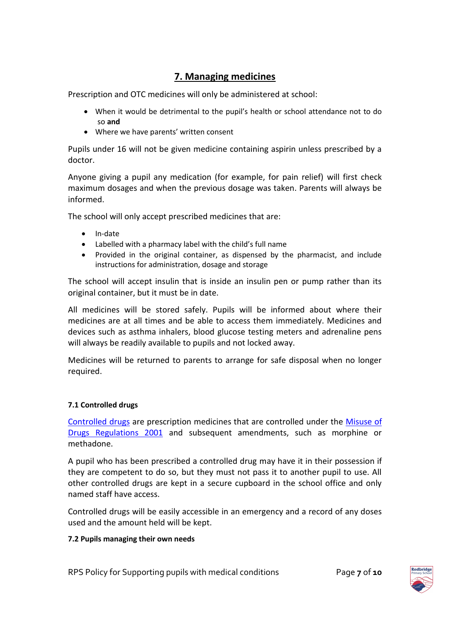# **7. Managing medicines**

Prescription and OTC medicines will only be administered at school:

- When it would be detrimental to the pupil's health or school attendance not to do so **and**
- Where we have parents' written consent

Pupils under 16 will not be given medicine containing aspirin unless prescribed by a doctor.

Anyone giving a pupil any medication (for example, for pain relief) will first check maximum dosages and when the previous dosage was taken. Parents will always be informed.

The school will only accept prescribed medicines that are:

- In-date
- Labelled with a pharmacy label with the child's full name
- Provided in the original container, as dispensed by the pharmacist, and include instructions for administration, dosage and storage

The school will accept insulin that is inside an insulin pen or pump rather than its original container, but it must be in date.

All medicines will be stored safely. Pupils will be informed about where their medicines are at all times and be able to access them immediately. Medicines and devices such as asthma inhalers, blood glucose testing meters and adrenaline pens will always be readily available to pupils and not locked away.

Medicines will be returned to parents to arrange for safe disposal when no longer required.

#### **7.1 Controlled drugs**

[Controlled drugs](http://www.nhs.uk/chq/Pages/1391.aspx?CategoryID=73) are prescription medicines that are controlled under the [Misuse of](http://www.legislation.gov.uk/uksi/2001/3998/schedule/1/made)  [Drugs Regulations 2001](http://www.legislation.gov.uk/uksi/2001/3998/schedule/1/made) and subsequent amendments, such as morphine or methadone.

A pupil who has been prescribed a controlled drug may have it in their possession if they are competent to do so, but they must not pass it to another pupil to use. All other controlled drugs are kept in a secure cupboard in the school office and only named staff have access.

Controlled drugs will be easily accessible in an emergency and a record of any doses used and the amount held will be kept.

#### **7.2 Pupils managing their own needs**

RPS Policy for Supporting pupils with medical conditions Page **7** of **10**

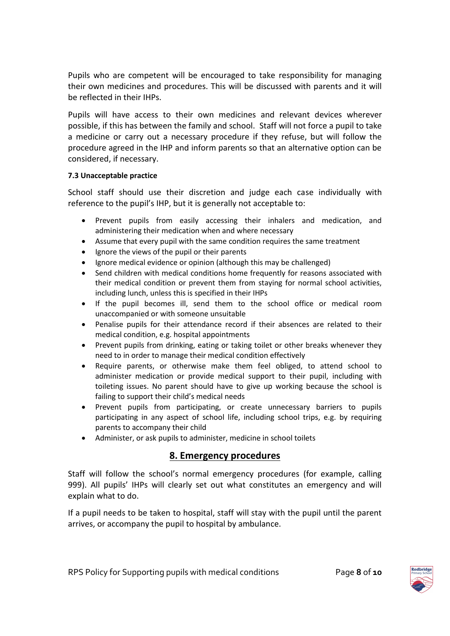Pupils who are competent will be encouraged to take responsibility for managing their own medicines and procedures. This will be discussed with parents and it will be reflected in their IHPs.

Pupils will have access to their own medicines and relevant devices wherever possible, if this has between the family and school. Staff will not force a pupil to take a medicine or carry out a necessary procedure if they refuse, but will follow the procedure agreed in the IHP and inform parents so that an alternative option can be considered, if necessary.

#### **7.3 Unacceptable practice**

School staff should use their discretion and judge each case individually with reference to the pupil's IHP, but it is generally not acceptable to:

- Prevent pupils from easily accessing their inhalers and medication, and administering their medication when and where necessary
- Assume that every pupil with the same condition requires the same treatment
- Ignore the views of the pupil or their parents
- Ignore medical evidence or opinion (although this may be challenged)
- Send children with medical conditions home frequently for reasons associated with their medical condition or prevent them from staying for normal school activities, including lunch, unless this is specified in their IHPs
- If the pupil becomes ill, send them to the school office or medical room unaccompanied or with someone unsuitable
- Penalise pupils for their attendance record if their absences are related to their medical condition, e.g. hospital appointments
- Prevent pupils from drinking, eating or taking toilet or other breaks whenever they need to in order to manage their medical condition effectively
- Require parents, or otherwise make them feel obliged, to attend school to administer medication or provide medical support to their pupil, including with toileting issues. No parent should have to give up working because the school is failing to support their child's medical needs
- Prevent pupils from participating, or create unnecessary barriers to pupils participating in any aspect of school life, including school trips, e.g. by requiring parents to accompany their child
- Administer, or ask pupils to administer, medicine in school toilets

#### **8. Emergency procedures**

Staff will follow the school's normal emergency procedures (for example, calling 999). All pupils' IHPs will clearly set out what constitutes an emergency and will explain what to do.

If a pupil needs to be taken to hospital, staff will stay with the pupil until the parent arrives, or accompany the pupil to hospital by ambulance.

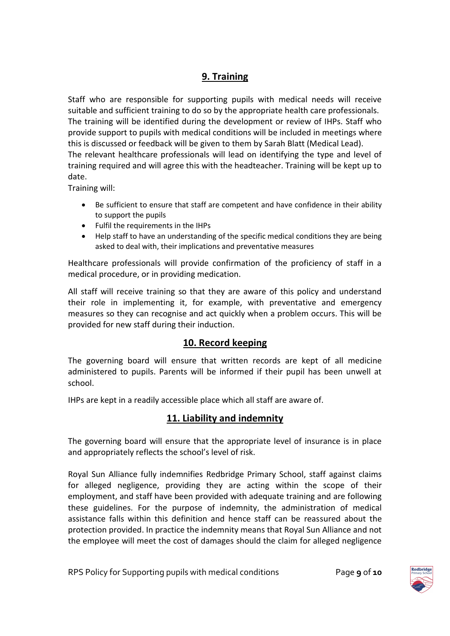# **9. Training**

Staff who are responsible for supporting pupils with medical needs will receive suitable and sufficient training to do so by the appropriate health care professionals. The training will be identified during the development or review of IHPs. Staff who provide support to pupils with medical conditions will be included in meetings where this is discussed or feedback will be given to them by Sarah Blatt (Medical Lead). The relevant healthcare professionals will lead on identifying the type and level of training required and will agree this with the headteacher. Training will be kept up to date.

Training will:

- Be sufficient to ensure that staff are competent and have confidence in their ability to support the pupils
- Fulfil the requirements in the IHPs
- Help staff to have an understanding of the specific medical conditions they are being asked to deal with, their implications and preventative measures

Healthcare professionals will provide confirmation of the proficiency of staff in a medical procedure, or in providing medication.

All staff will receive training so that they are aware of this policy and understand their role in implementing it, for example, with preventative and emergency measures so they can recognise and act quickly when a problem occurs. This will be provided for new staff during their induction.

# **10. Record keeping**

The governing board will ensure that written records are kept of all medicine administered to pupils. Parents will be informed if their pupil has been unwell at school.

IHPs are kept in a readily accessible place which all staff are aware of.

#### **11. Liability and indemnity**

The governing board will ensure that the appropriate level of insurance is in place and appropriately reflects the school's level of risk.

Royal Sun Alliance fully indemnifies Redbridge Primary School, staff against claims for alleged negligence, providing they are acting within the scope of their employment, and staff have been provided with adequate training and are following these guidelines. For the purpose of indemnity, the administration of medical assistance falls within this definition and hence staff can be reassured about the protection provided. In practice the indemnity means that Royal Sun Alliance and not the employee will meet the cost of damages should the claim for alleged negligence